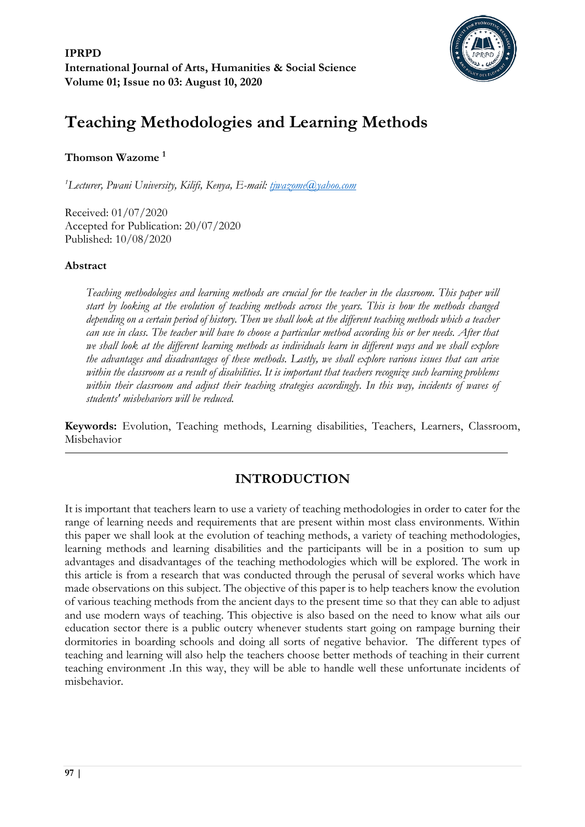

# **Teaching Methodologies and Learning Methods**

# **Thomson Wazome <sup>1</sup>**

*<sup>1</sup>Lecturer, Pwani University, Kilifi, Kenya, E-mail: [tjwazome@yahoo.com](mailto:tjwazome@yahoo.com)*

Received: 01/07/2020 Accepted for Publication: 20/07/2020 Published: 10/08/2020

# **Abstract**

*Teaching methodologies and learning methods are crucial for the teacher in the classroom. This paper will start by looking at the evolution of teaching methods across the years. This is how the methods changed depending on a certain period of history. Then we shall look at the different teaching methods which a teacher can use in class. The teacher will have to choose a particular method according his or her needs. After that*  we shall look at the different learning methods as individuals learn in different ways and we shall explore *the advantages and disadvantages of these methods. Lastly, we shall explore various issues that can arise within the classroom as a result of disabilities. It is important that teachers recognize such learning problems*  within their classroom and adjust their teaching strategies accordingly. In this way, incidents of waves of *students' misbehaviors will be reduced.*

**Keywords:** Evolution, Teaching methods, Learning disabilities, Teachers, Learners, Classroom, Misbehavior

# **INTRODUCTION**

It is important that teachers learn to use a variety of teaching methodologies in order to cater for the range of learning needs and requirements that are present within most class environments. Within this paper we shall look at the evolution of teaching methods, a variety of teaching methodologies, learning methods and learning disabilities and the participants will be in a position to sum up advantages and disadvantages of the teaching methodologies which will be explored. The work in this article is from a research that was conducted through the perusal of several works which have made observations on this subject. The objective of this paper is to help teachers know the evolution of various teaching methods from the ancient days to the present time so that they can able to adjust and use modern ways of teaching. This objective is also based on the need to know what ails our education sector there is a public outcry whenever students start going on rampage burning their dormitories in boarding schools and doing all sorts of negative behavior. The different types of teaching and learning will also help the teachers choose better methods of teaching in their current teaching environment .In this way, they will be able to handle well these unfortunate incidents of misbehavior.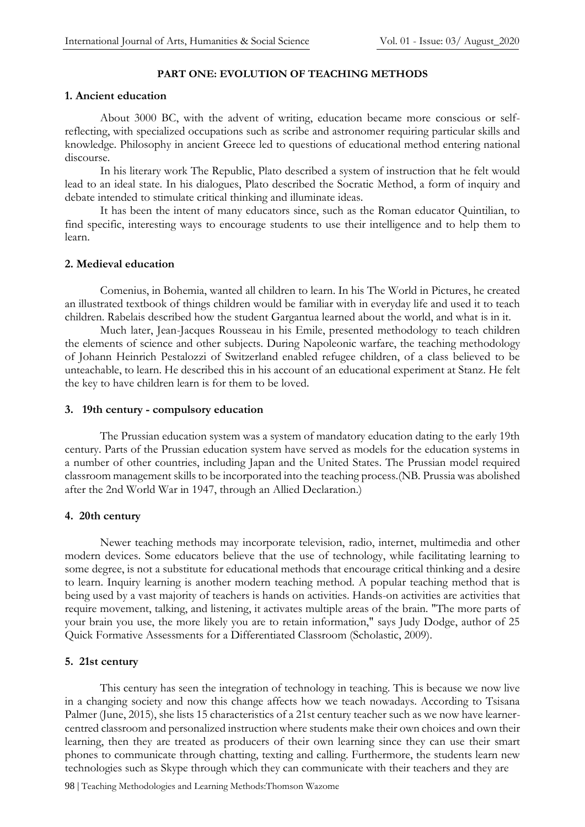#### **PART ONE: EVOLUTION OF TEACHING METHODS**

#### **1. Ancient education**

About 3000 BC, with the advent of writing, education became more conscious or selfreflecting, with specialized occupations such as scribe and astronomer requiring particular skills and knowledge. Philosophy in ancient Greece led to questions of educational method entering national discourse.

In his literary work The Republic, Plato described a system of instruction that he felt would lead to an ideal state. In his dialogues, Plato described the Socratic Method, a form of inquiry and debate intended to stimulate critical thinking and illuminate ideas.

It has been the intent of many educators since, such as the Roman educator Quintilian, to find specific, interesting ways to encourage students to use their intelligence and to help them to learn.

#### **2. Medieval education**

Comenius, in Bohemia, wanted all children to learn. In his The World in Pictures, he created an illustrated textbook of things children would be familiar with in everyday life and used it to teach children. Rabelais described how the student Gargantua learned about the world, and what is in it.

Much later, Jean-Jacques Rousseau in his Emile, presented methodology to teach children the elements of science and other subjects. During Napoleonic warfare, the teaching methodology of Johann Heinrich Pestalozzi of Switzerland enabled refugee children, of a class believed to be unteachable, to learn. He described this in his account of an educational experiment at Stanz. He felt the key to have children learn is for them to be loved.

#### **3. 19th century - compulsory education**

The Prussian education system was a system of mandatory education dating to the early 19th century. Parts of the Prussian education system have served as models for the education systems in a number of other countries, including Japan and the United States. The Prussian model required classroom management skills to be incorporated into the teaching process.(NB. Prussia was abolished after the 2nd World War in 1947, through an Allied Declaration.)

#### **4. 20th century**

Newer teaching methods may incorporate television, radio, internet, multimedia and other modern devices. Some educators believe that the use of technology, while facilitating learning to some degree, is not a substitute for educational methods that encourage critical thinking and a desire to learn. Inquiry learning is another modern teaching method. A popular teaching method that is being used by a vast majority of teachers is hands on activities. Hands-on activities are activities that require movement, talking, and listening, it activates multiple areas of the brain. "The more parts of your brain you use, the more likely you are to retain information," says Judy Dodge, author of 25 Quick Formative Assessments for a Differentiated Classroom (Scholastic, 2009).

#### **5. 21st century**

This century has seen the integration of technology in teaching. This is because we now live in a changing society and now this change affects how we teach nowadays. According to Tsisana Palmer (June, 2015), she lists 15 characteristics of a 21st century teacher such as we now have learnercentred classroom and personalized instruction where students make their own choices and own their learning, then they are treated as producers of their own learning since they can use their smart phones to communicate through chatting, texting and calling. Furthermore, the students learn new technologies such as Skype through which they can communicate with their teachers and they are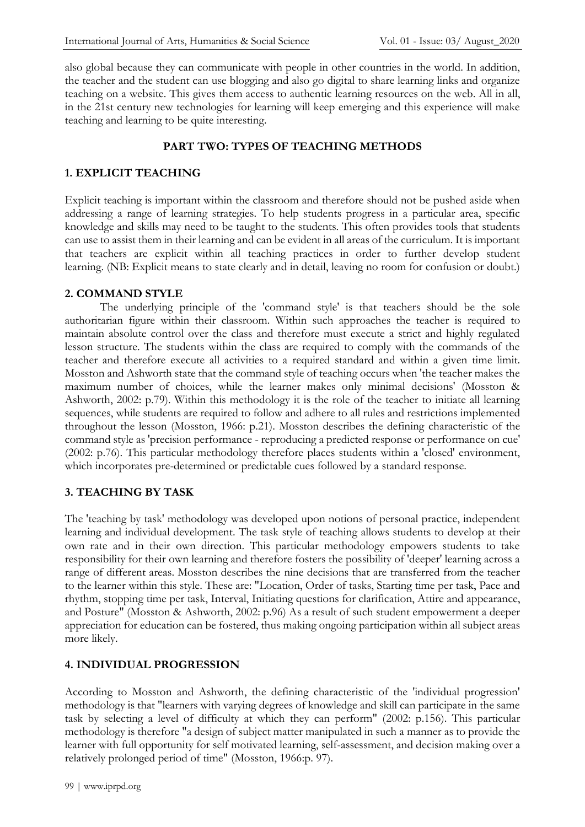also global because they can communicate with people in other countries in the world. In addition, the teacher and the student can use blogging and also go digital to share learning links and organize teaching on a website. This gives them access to authentic learning resources on the web. All in all, in the 21st century new technologies for learning will keep emerging and this experience will make teaching and learning to be quite interesting.

# **PART TWO: TYPES OF TEACHING METHODS**

# **1. EXPLICIT TEACHING**

Explicit teaching is important within the classroom and therefore should not be pushed aside when addressing a range of learning strategies. To help students progress in a particular area, specific knowledge and skills may need to be taught to the students. This often provides tools that students can use to assist them in their learning and can be evident in all areas of the curriculum. It is important that teachers are explicit within all teaching practices in order to further develop student learning. (NB: Explicit means to state clearly and in detail, leaving no room for confusion or doubt.)

#### **2. COMMAND STYLE**

The underlying principle of the 'command style' is that teachers should be the sole authoritarian figure within their classroom. Within such approaches the teacher is required to maintain absolute control over the class and therefore must execute a strict and highly regulated lesson structure. The students within the class are required to comply with the commands of the teacher and therefore execute all activities to a required standard and within a given time limit. Mosston and Ashworth state that the command style of teaching occurs when 'the teacher makes the maximum number of choices, while the learner makes only minimal decisions' (Mosston & Ashworth, 2002: p.79). Within this methodology it is the role of the teacher to initiate all learning sequences, while students are required to follow and adhere to all rules and restrictions implemented throughout the lesson (Mosston, 1966: p.21). Mosston describes the defining characteristic of the command style as 'precision performance - reproducing a predicted response or performance on cue' (2002: p.76). This particular methodology therefore places students within a 'closed' environment, which incorporates pre-determined or predictable cues followed by a standard response.

# **3. TEACHING BY TASK**

The 'teaching by task' methodology was developed upon notions of personal practice, independent learning and individual development. The task style of teaching allows students to develop at their own rate and in their own direction. This particular methodology empowers students to take responsibility for their own learning and therefore fosters the possibility of 'deeper' learning across a range of different areas. Mosston describes the nine decisions that are transferred from the teacher to the learner within this style. These are: "Location, Order of tasks, Starting time per task, Pace and rhythm, stopping time per task, Interval, Initiating questions for clarification, Attire and appearance, and Posture" (Mosston & Ashworth, 2002: p.96) As a result of such student empowerment a deeper appreciation for education can be fostered, thus making ongoing participation within all subject areas more likely.

#### **4. INDIVIDUAL PROGRESSION**

According to Mosston and Ashworth, the defining characteristic of the 'individual progression' methodology is that "learners with varying degrees of knowledge and skill can participate in the same task by selecting a level of difficulty at which they can perform" (2002: p.156). This particular methodology is therefore "a design of subject matter manipulated in such a manner as to provide the learner with full opportunity for self motivated learning, self-assessment, and decision making over a relatively prolonged period of time" (Mosston, 1966:p. 97).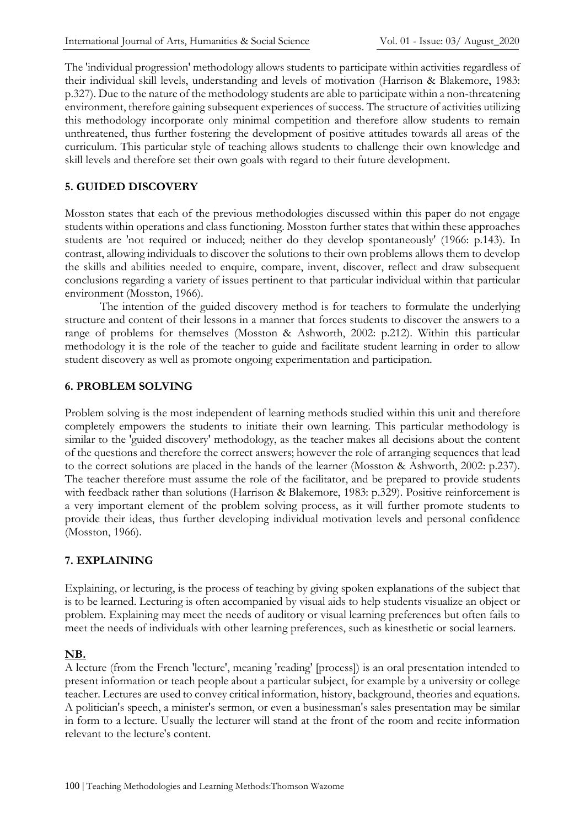The 'individual progression' methodology allows students to participate within activities regardless of their individual skill levels, understanding and levels of motivation (Harrison & Blakemore, 1983: p.327). Due to the nature of the methodology students are able to participate within a non-threatening environment, therefore gaining subsequent experiences of success. The structure of activities utilizing this methodology incorporate only minimal competition and therefore allow students to remain unthreatened, thus further fostering the development of positive attitudes towards all areas of the curriculum. This particular style of teaching allows students to challenge their own knowledge and skill levels and therefore set their own goals with regard to their future development.

# **5. GUIDED DISCOVERY**

Mosston states that each of the previous methodologies discussed within this paper do not engage students within operations and class functioning. Mosston further states that within these approaches students are 'not required or induced; neither do they develop spontaneously' (1966: p.143). In contrast, allowing individuals to discover the solutions to their own problems allows them to develop the skills and abilities needed to enquire, compare, invent, discover, reflect and draw subsequent conclusions regarding a variety of issues pertinent to that particular individual within that particular environment (Mosston, 1966).

The intention of the guided discovery method is for teachers to formulate the underlying structure and content of their lessons in a manner that forces students to discover the answers to a range of problems for themselves (Mosston & Ashworth, 2002: p.212). Within this particular methodology it is the role of the teacher to guide and facilitate student learning in order to allow student discovery as well as promote ongoing experimentation and participation.

#### **6. PROBLEM SOLVING**

Problem solving is the most independent of learning methods studied within this unit and therefore completely empowers the students to initiate their own learning. This particular methodology is similar to the 'guided discovery' methodology, as the teacher makes all decisions about the content of the questions and therefore the correct answers; however the role of arranging sequences that lead to the correct solutions are placed in the hands of the learner (Mosston & Ashworth, 2002: p.237). The teacher therefore must assume the role of the facilitator, and be prepared to provide students with feedback rather than solutions (Harrison & Blakemore, 1983: p.329). Positive reinforcement is a very important element of the problem solving process, as it will further promote students to provide their ideas, thus further developing individual motivation levels and personal confidence (Mosston, 1966).

#### **7. EXPLAINING**

Explaining, or lecturing, is the process of teaching by giving spoken explanations of the subject that is to be learned. Lecturing is often accompanied by visual aids to help students visualize an object or problem. Explaining may meet the needs of auditory or visual learning preferences but often fails to meet the needs of individuals with other learning preferences, such as kinesthetic or social learners.

# **NB.**

A lecture (from the French 'lecture', meaning 'reading' [process]) is an oral presentation intended to present information or teach people about a particular subject, for example by a university or college teacher. Lectures are used to convey critical information, history, background, theories and equations. A politician's speech, a minister's sermon, or even a businessman's sales presentation may be similar in form to a lecture. Usually the lecturer will stand at the front of the room and recite information relevant to the lecture's content.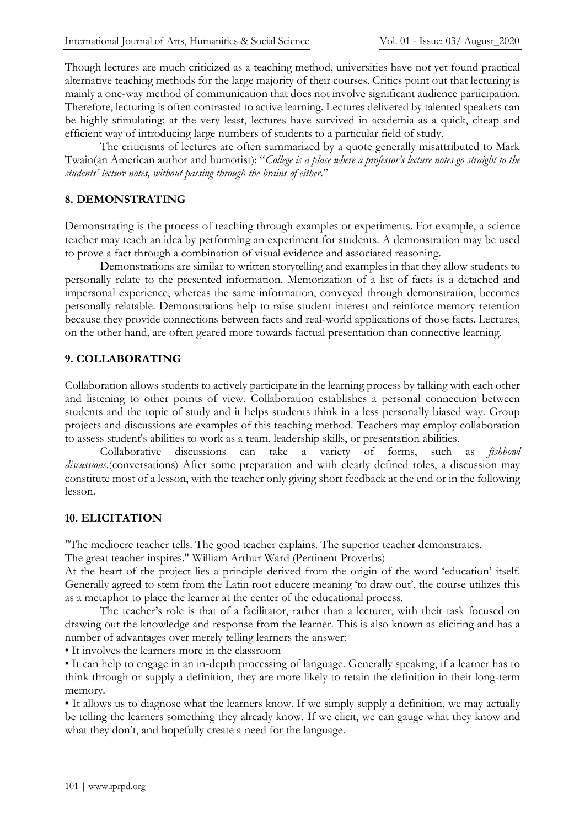Though lectures are much criticized as a teaching method, universities have not yet found practical alternative teaching methods for the large majority of their courses. Critics point out that lecturing is mainly a one-way method of communication that does not involve significant audience participation. Therefore, lecturing is often contrasted to active learning. Lectures delivered by talented speakers can be highly stimulating; at the very least, lectures have survived in academia as a quick, cheap and efficient way of introducing large numbers of students to a particular field of study.

The criticisms of lectures are often summarized by a quote generally misattributed to Mark Twain(an American author and humorist): "*College is a place where a professor's lecture notes go straight to the students' lecture notes, without passing through the brains of either*."

# **8. DEMONSTRATING**

Demonstrating is the process of teaching through examples or experiments. For example, a science teacher may teach an idea by performing an experiment for students. A demonstration may be used to prove a fact through a combination of visual evidence and associated reasoning.

Demonstrations are similar to written storytelling and examples in that they allow students to personally relate to the presented information. Memorization of a list of facts is a detached and impersonal experience, whereas the same information, conveyed through demonstration, becomes personally relatable. Demonstrations help to raise student interest and reinforce memory retention because they provide connections between facts and real-world applications of those facts. Lectures, on the other hand, are often geared more towards factual presentation than connective learning.

#### **9. COLLABORATING**

Collaboration allows students to actively participate in the learning process by talking with each other and listening to other points of view. Collaboration establishes a personal connection between students and the topic of study and it helps students think in a less personally biased way. Group projects and discussions are examples of this teaching method. Teachers may employ collaboration to assess student's abilities to work as a team, leadership skills, or presentation abilities.

Collaborative discussions can take a variety of forms, such as *fishbowl discussions*.(conversations) After some preparation and with clearly defined roles, a discussion may constitute most of a lesson, with the teacher only giving short feedback at the end or in the following lesson.

#### **10. ELICITATION**

"The mediocre teacher tells. The good teacher explains. The superior teacher demonstrates.

The great teacher inspires." William Arthur Ward (Pertinent Proverbs)

At the heart of the project lies a principle derived from the origin of the word 'education' itself. Generally agreed to stem from the Latin root educere meaning 'to draw out', the course utilizes this as a metaphor to place the learner at the center of the educational process.

The teacher's role is that of a facilitator, rather than a lecturer, with their task focused on drawing out the knowledge and response from the learner. This is also known as eliciting and has a number of advantages over merely telling learners the answer:

• It involves the learners more in the classroom

• It can help to engage in an in-depth processing of language. Generally speaking, if a learner has to think through or supply a definition, they are more likely to retain the definition in their long-term memory.

• It allows us to diagnose what the learners know. If we simply supply a definition, we may actually be telling the learners something they already know. If we elicit, we can gauge what they know and what they don't, and hopefully create a need for the language.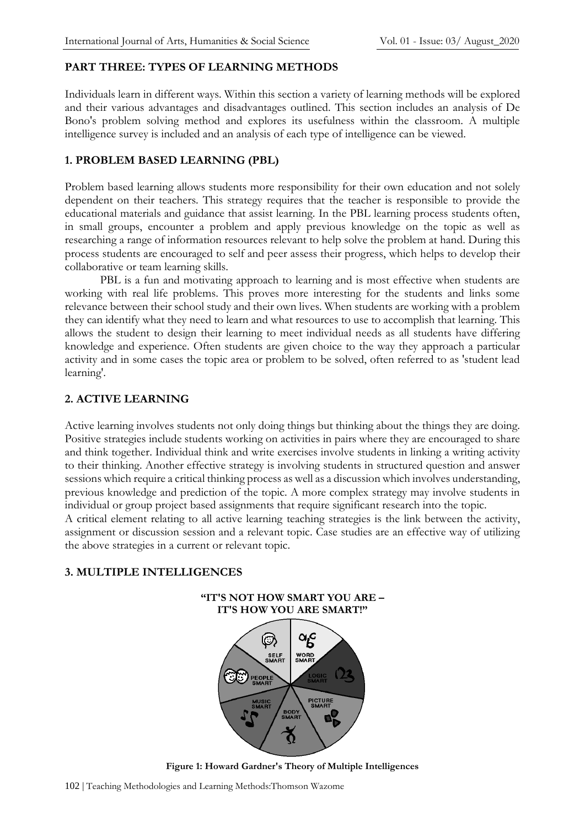# **PART THREE: TYPES OF LEARNING METHODS**

Individuals learn in different ways. Within this section a variety of learning methods will be explored and their various advantages and disadvantages outlined. This section includes an analysis of De Bono's problem solving method and explores its usefulness within the classroom. A multiple intelligence survey is included and an analysis of each type of intelligence can be viewed.

# **1. PROBLEM BASED LEARNING (PBL)**

Problem based learning allows students more responsibility for their own education and not solely dependent on their teachers. This strategy requires that the teacher is responsible to provide the educational materials and guidance that assist learning. In the PBL learning process students often, in small groups, encounter a problem and apply previous knowledge on the topic as well as researching a range of information resources relevant to help solve the problem at hand. During this process students are encouraged to self and peer assess their progress, which helps to develop their collaborative or team learning skills.

PBL is a fun and motivating approach to learning and is most effective when students are working with real life problems. This proves more interesting for the students and links some relevance between their school study and their own lives. When students are working with a problem they can identify what they need to learn and what resources to use to accomplish that learning. This allows the student to design their learning to meet individual needs as all students have differing knowledge and experience. Often students are given choice to the way they approach a particular activity and in some cases the topic area or problem to be solved, often referred to as 'student lead learning'.

# **2. ACTIVE LEARNING**

Active learning involves students not only doing things but thinking about the things they are doing. Positive strategies include students working on activities in pairs where they are encouraged to share and think together. Individual think and write exercises involve students in linking a writing activity to their thinking. Another effective strategy is involving students in structured question and answer sessions which require a critical thinking process as well as a discussion which involves understanding, previous knowledge and prediction of the topic. A more complex strategy may involve students in individual or group project based assignments that require significant research into the topic.

A critical element relating to all active learning teaching strategies is the link between the activity, assignment or discussion session and a relevant topic. Case studies are an effective way of utilizing the above strategies in a current or relevant topic.

# **3. MULTIPLE INTELLIGENCES**



**Figure 1: Howard Gardner's Theory of Multiple Intelligences**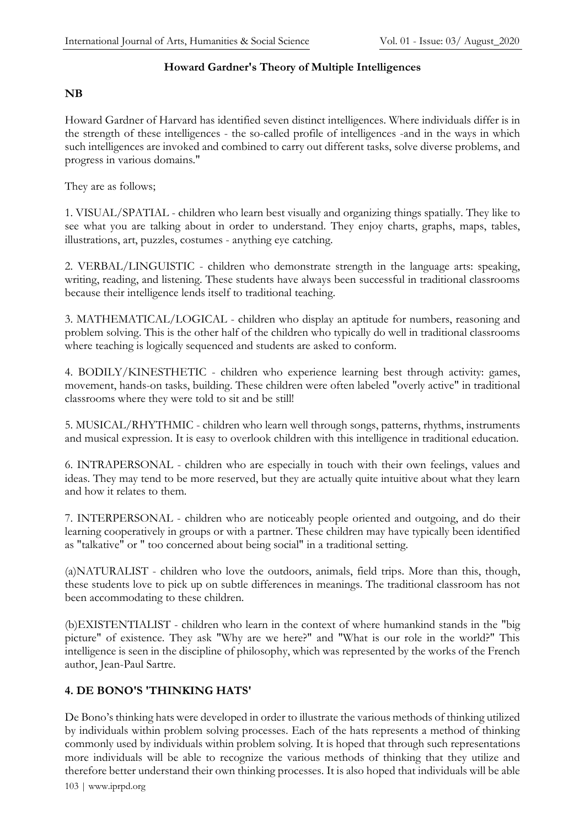#### **Howard Gardner's Theory of Multiple Intelligences**

# **NB**

Howard Gardner of Harvard has identified seven distinct intelligences. Where individuals differ is in the strength of these intelligences - the so-called profile of intelligences -and in the ways in which such intelligences are invoked and combined to carry out different tasks, solve diverse problems, and progress in various domains."

They are as follows;

1. VISUAL/SPATIAL - children who learn best visually and organizing things spatially. They like to see what you are talking about in order to understand. They enjoy charts, graphs, maps, tables, illustrations, art, puzzles, costumes - anything eye catching.

2. VERBAL/LINGUISTIC - children who demonstrate strength in the language arts: speaking, writing, reading, and listening. These students have always been successful in traditional classrooms because their intelligence lends itself to traditional teaching.

3. MATHEMATICAL/LOGICAL - children who display an aptitude for numbers, reasoning and problem solving. This is the other half of the children who typically do well in traditional classrooms where teaching is logically sequenced and students are asked to conform.

4. BODILY/KINESTHETIC - children who experience learning best through activity: games, movement, hands-on tasks, building. These children were often labeled "overly active" in traditional classrooms where they were told to sit and be still!

5. MUSICAL/RHYTHMIC - children who learn well through songs, patterns, rhythms, instruments and musical expression. It is easy to overlook children with this intelligence in traditional education.

6. INTRAPERSONAL - children who are especially in touch with their own feelings, values and ideas. They may tend to be more reserved, but they are actually quite intuitive about what they learn and how it relates to them.

7. INTERPERSONAL - children who are noticeably people oriented and outgoing, and do their learning cooperatively in groups or with a partner. These children may have typically been identified as "talkative" or " too concerned about being social" in a traditional setting.

(a)NATURALIST - children who love the outdoors, animals, field trips. More than this, though, these students love to pick up on subtle differences in meanings. The traditional classroom has not been accommodating to these children.

(b)EXISTENTIALIST - children who learn in the context of where humankind stands in the "big picture" of existence. They ask "Why are we here?" and "What is our role in the world?" This intelligence is seen in the discipline of philosophy, which was represented by the works of the French author, Jean-Paul Sartre.

# **4. DE BONO'S 'THINKING HATS'**

De Bono's thinking hats were developed in order to illustrate the various methods of thinking utilized by individuals within problem solving processes. Each of the hats represents a method of thinking commonly used by individuals within problem solving. It is hoped that through such representations more individuals will be able to recognize the various methods of thinking that they utilize and therefore better understand their own thinking processes. It is also hoped that individuals will be able

103 | www.iprpd.org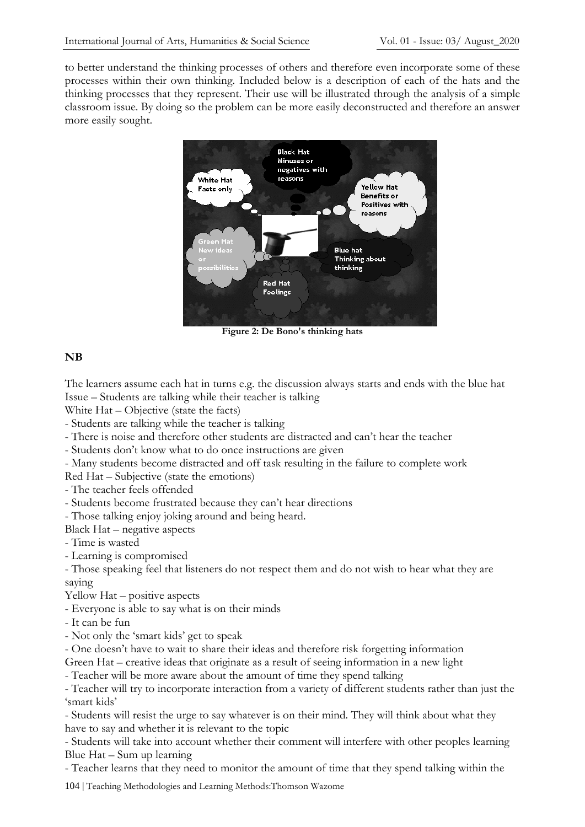to better understand the thinking processes of others and therefore even incorporate some of these processes within their own thinking. Included below is a description of each of the hats and the thinking processes that they represent. Their use will be illustrated through the analysis of a simple classroom issue. By doing so the problem can be more easily deconstructed and therefore an answer more easily sought.



**Figure 2: De Bono's thinking hats**

# **NB**

The learners assume each hat in turns e.g. the discussion always starts and ends with the blue hat Issue – Students are talking while their teacher is talking

White Hat – Objective (state the facts)

- Students are talking while the teacher is talking

- There is noise and therefore other students are distracted and can't hear the teacher

- Students don't know what to do once instructions are given

- Many students become distracted and off task resulting in the failure to complete work

Red Hat – Subjective (state the emotions)

- The teacher feels offended

- Students become frustrated because they can't hear directions

- Those talking enjoy joking around and being heard.

Black Hat – negative aspects

- Time is wasted

- Learning is compromised

- Those speaking feel that listeners do not respect them and do not wish to hear what they are saying

Yellow Hat – positive aspects

- Everyone is able to say what is on their minds
- It can be fun
- Not only the 'smart kids' get to speak

- One doesn't have to wait to share their ideas and therefore risk forgetting information

Green Hat – creative ideas that originate as a result of seeing information in a new light

- Teacher will be more aware about the amount of time they spend talking

- Teacher will try to incorporate interaction from a variety of different students rather than just the 'smart kids'

- Students will resist the urge to say whatever is on their mind. They will think about what they have to say and whether it is relevant to the topic

- Students will take into account whether their comment will interfere with other peoples learning Blue Hat – Sum up learning

- Teacher learns that they need to monitor the amount of time that they spend talking within the

104 | Teaching Methodologies and Learning Methods:Thomson Wazome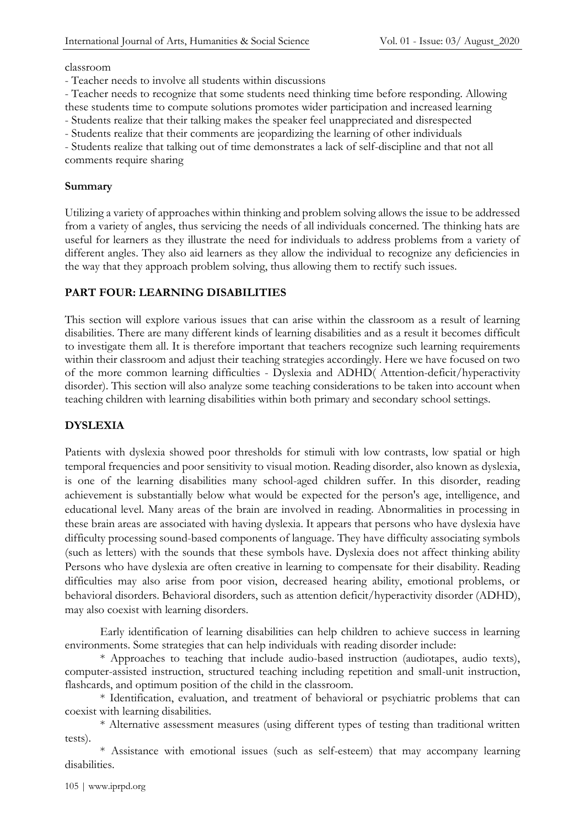#### classroom

- Teacher needs to involve all students within discussions

- Teacher needs to recognize that some students need thinking time before responding. Allowing

these students time to compute solutions promotes wider participation and increased learning

- Students realize that their talking makes the speaker feel unappreciated and disrespected

- Students realize that their comments are jeopardizing the learning of other individuals

- Students realize that talking out of time demonstrates a lack of self-discipline and that not all comments require sharing

#### **Summary**

Utilizing a variety of approaches within thinking and problem solving allows the issue to be addressed from a variety of angles, thus servicing the needs of all individuals concerned. The thinking hats are useful for learners as they illustrate the need for individuals to address problems from a variety of different angles. They also aid learners as they allow the individual to recognize any deficiencies in the way that they approach problem solving, thus allowing them to rectify such issues.

# **PART FOUR: LEARNING DISABILITIES**

This section will explore various issues that can arise within the classroom as a result of learning disabilities. There are many different kinds of learning disabilities and as a result it becomes difficult to investigate them all. It is therefore important that teachers recognize such learning requirements within their classroom and adjust their teaching strategies accordingly. Here we have focused on two of the more common learning difficulties - Dyslexia and ADHD( Attention-deficit/hyperactivity disorder). This section will also analyze some teaching considerations to be taken into account when teaching children with learning disabilities within both primary and secondary school settings.

# **DYSLEXIA**

Patients with dyslexia showed poor thresholds for stimuli with low contrasts, low spatial or high temporal frequencies and poor sensitivity to visual motion. Reading disorder, also known as dyslexia, is one of the learning disabilities many school-aged children suffer. In this disorder, reading achievement is substantially below what would be expected for the person's age, intelligence, and educational level. Many areas of the brain are involved in reading. Abnormalities in processing in these brain areas are associated with having dyslexia. It appears that persons who have dyslexia have difficulty processing sound-based components of language. They have difficulty associating symbols (such as letters) with the sounds that these symbols have. Dyslexia does not affect thinking ability Persons who have dyslexia are often creative in learning to compensate for their disability. Reading difficulties may also arise from poor vision, decreased hearing ability, emotional problems, or behavioral disorders. Behavioral disorders, such as attention deficit/hyperactivity disorder (ADHD), may also coexist with learning disorders.

Early identification of learning disabilities can help children to achieve success in learning environments. Some strategies that can help individuals with reading disorder include:

\* Approaches to teaching that include audio-based instruction (audiotapes, audio texts), computer-assisted instruction, structured teaching including repetition and small-unit instruction, flashcards, and optimum position of the child in the classroom.

\* Identification, evaluation, and treatment of behavioral or psychiatric problems that can coexist with learning disabilities.

\* Alternative assessment measures (using different types of testing than traditional written tests).

\* Assistance with emotional issues (such as self-esteem) that may accompany learning disabilities.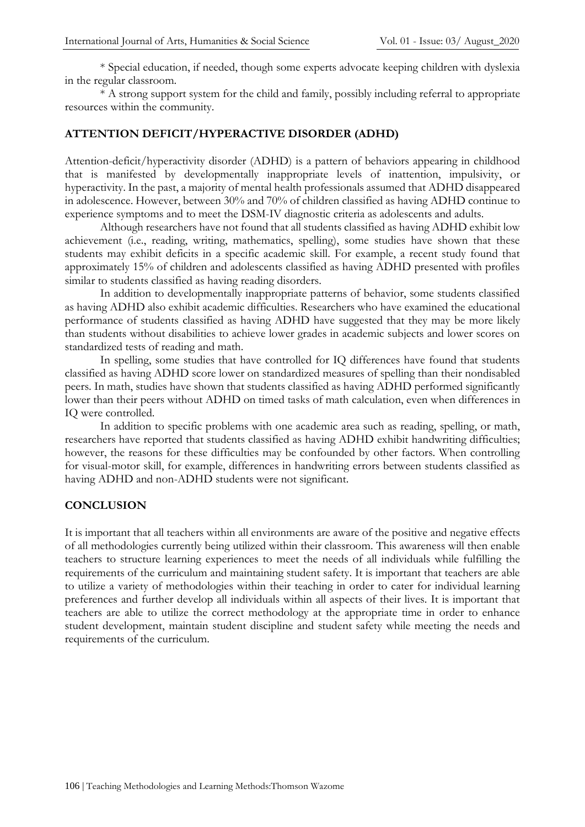\* Special education, if needed, though some experts advocate keeping children with dyslexia in the regular classroom.

\* A strong support system for the child and family, possibly including referral to appropriate resources within the community.

#### **ATTENTION DEFICIT/HYPERACTIVE DISORDER (ADHD)**

Attention-deficit/hyperactivity disorder (ADHD) is a pattern of behaviors appearing in childhood that is manifested by developmentally inappropriate levels of inattention, impulsivity, or hyperactivity. In the past, a majority of mental health professionals assumed that ADHD disappeared in adolescence. However, between 30% and 70% of children classified as having ADHD continue to experience symptoms and to meet the DSM-IV diagnostic criteria as adolescents and adults.

Although researchers have not found that all students classified as having ADHD exhibit low achievement (i.e., reading, writing, mathematics, spelling), some studies have shown that these students may exhibit deficits in a specific academic skill. For example, a recent study found that approximately 15% of children and adolescents classified as having ADHD presented with profiles similar to students classified as having reading disorders.

In addition to developmentally inappropriate patterns of behavior, some students classified as having ADHD also exhibit academic difficulties. Researchers who have examined the educational performance of students classified as having ADHD have suggested that they may be more likely than students without disabilities to achieve lower grades in academic subjects and lower scores on standardized tests of reading and math.

In spelling, some studies that have controlled for IQ differences have found that students classified as having ADHD score lower on standardized measures of spelling than their nondisabled peers. In math, studies have shown that students classified as having ADHD performed significantly lower than their peers without ADHD on timed tasks of math calculation, even when differences in IQ were controlled.

In addition to specific problems with one academic area such as reading, spelling, or math, researchers have reported that students classified as having ADHD exhibit handwriting difficulties; however, the reasons for these difficulties may be confounded by other factors. When controlling for visual-motor skill, for example, differences in handwriting errors between students classified as having ADHD and non-ADHD students were not significant.

#### **CONCLUSION**

It is important that all teachers within all environments are aware of the positive and negative effects of all methodologies currently being utilized within their classroom. This awareness will then enable teachers to structure learning experiences to meet the needs of all individuals while fulfilling the requirements of the curriculum and maintaining student safety. It is important that teachers are able to utilize a variety of methodologies within their teaching in order to cater for individual learning preferences and further develop all individuals within all aspects of their lives. It is important that teachers are able to utilize the correct methodology at the appropriate time in order to enhance student development, maintain student discipline and student safety while meeting the needs and requirements of the curriculum.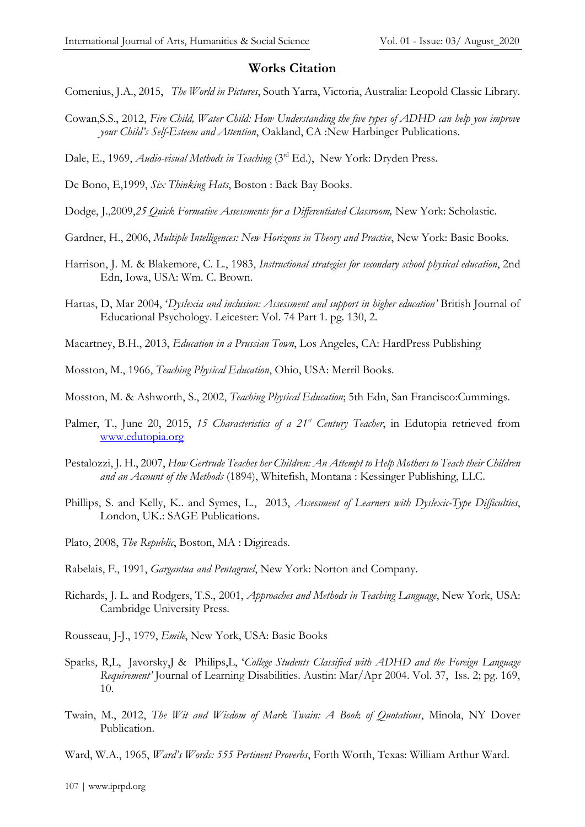#### **Works Citation**

- Comenius, J.A., 2015, *The World in Pictures*, South Yarra, Victoria, Australia: Leopold Classic Library.
- Cowan,S.S., 2012, *Fire Child, Water Child: How Understanding the five types of ADHD can help you improve your Child's Self-Esteem and Attention*, Oakland, CA :New Harbinger Publications.
- Dale, E., 1969, *Audio-visual Methods in Teaching* (3<sup>rd</sup> Ed.), New York: Dryden Press.
- De Bono, E,1999, *Six Thinking Hats*, Boston : Back Bay Books.
- Dodge, J.,2009,*25 Quick Formative Assessments for a Differentiated Classroom,* New York: Scholastic.
- Gardner, H., 2006, *Multiple Intelligences: New Horizons in Theory and Practice*, New York: Basic Books.
- Harrison, J. M. & Blakemore, C. L., 1983, *Instructional strategies for secondary school physical education*, 2nd Edn, Iowa, USA: Wm. C. Brown.
- Hartas, D, Mar 2004, '*Dyslexia and inclusion: Assessment and support in higher education'* British Journal of Educational Psychology. Leicester: Vol. 74 Part 1. pg. 130, 2.
- Macartney, B.H., 2013, *Education in a Prussian Town*, Los Angeles, CA: HardPress Publishing
- Mosston, M., 1966, *Teaching Physical Education*, Ohio, USA: Merril Books.
- Mosston, M. & Ashworth, S., 2002, *Teaching Physical Education*; 5th Edn, San Francisco:Cummings.
- Palmer, T., June 20, 2015, *15 Characteristics of a 21st Century Teacher*, in Edutopia retrieved from [www.edutopia.org](http://www.edutopia.org/)
- Pestalozzi, J. H., 2007, *How Gertrude Teaches her Children: An Attempt to Help Mothers to Teach their Children and an Account of the Methods* (1894), Whitefish, Montana : Kessinger Publishing, LLC.
- Phillips, S. and Kelly, K.. and Symes, L., 2013, *Assessment of Learners with Dyslexic-Type Difficulties*, London, UK.: SAGE Publications.
- Plato, 2008, *The Republic*, Boston, MA : Digireads.
- Rabelais, F., 1991, *Gargantua and Pentagruel*, New York: Norton and Company.
- Richards, J. L. and Rodgers, T.S., 2001, *Approaches and Methods in Teaching Language*, New York, USA: Cambridge University Press.
- Rousseau, J-J., 1979, *Emile*, New York, USA: Basic Books
- Sparks, R,L, Javorsky,J & Philips,L, '*College Students Classified with ADHD and the Foreign Language Requirement'* Journal of Learning Disabilities. Austin: Mar/Apr 2004. Vol. 37, Iss. 2; pg. 169, 10.
- Twain, M., 2012, *The Wit and Wisdom of Mark Twain: A Book of Quotations*, Minola, NY Dover Publication.
- Ward, W.A., 1965, *Ward's Words: 555 Pertinent Proverbs*, Forth Worth, Texas: William Arthur Ward.